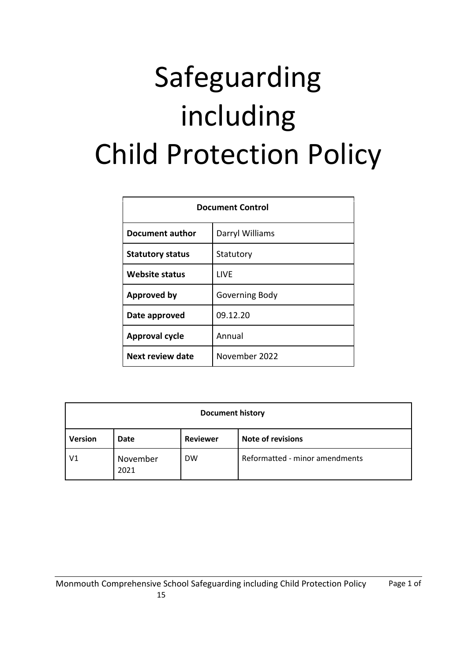# Safeguarding including Child Protection Policy

| <b>Document Control</b> |                 |  |
|-------------------------|-----------------|--|
| Document author         | Darryl Williams |  |
| <b>Statutory status</b> | Statutory       |  |
| Website status          | LIVE            |  |
| <b>Approved by</b>      | Governing Body  |  |
| Date approved           | 09.12.20        |  |
| <b>Approval cycle</b>   | Annual          |  |
| <b>Next review date</b> | November 2022   |  |

| <b>Document history</b> |                  |                 |                                |  |  |
|-------------------------|------------------|-----------------|--------------------------------|--|--|
| <b>Version</b>          | Date             | <b>Reviewer</b> | <b>Note of revisions</b>       |  |  |
| V1                      | November<br>2021 | <b>DW</b>       | Reformatted - minor amendments |  |  |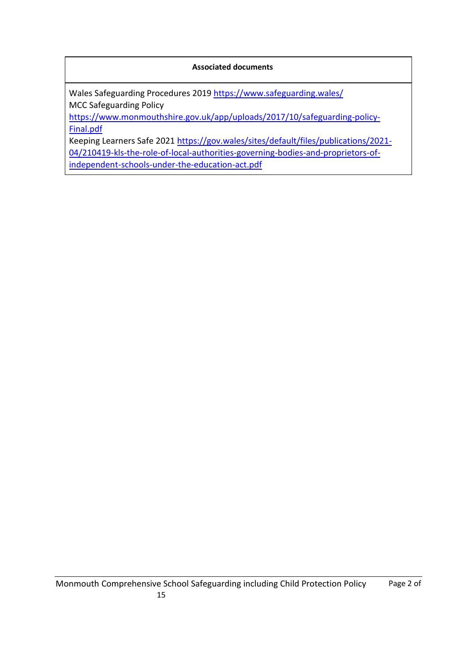### **Associated documents**

Wales Safeguarding Procedures 2019 <https://www.safeguarding.wales/> MCC Safeguarding Policy

[https://www.monmouthshire.gov.uk/app/uploads/2017/10/safeguarding-policy-](https://www.monmouthshire.gov.uk/app/uploads/2017/10/safeguarding-policy-Final.pdf)[Final.pdf](https://www.monmouthshire.gov.uk/app/uploads/2017/10/safeguarding-policy-Final.pdf)

Keeping Learners Safe 2021 [https://gov.wales/sites/default/files/publications/2021-](https://gov.wales/sites/default/files/publications/2021-04/210419-kls-the-role-of-local-authorities-governing-bodies-and-proprietors-of-independent-schools-under-the-education-act.pdf) [04/210419-kls-the-role-of-local-authorities-governing-bodies-and-proprietors-of](https://gov.wales/sites/default/files/publications/2021-04/210419-kls-the-role-of-local-authorities-governing-bodies-and-proprietors-of-independent-schools-under-the-education-act.pdf)[independent-schools-under-the-education-act.pdf](https://gov.wales/sites/default/files/publications/2021-04/210419-kls-the-role-of-local-authorities-governing-bodies-and-proprietors-of-independent-schools-under-the-education-act.pdf)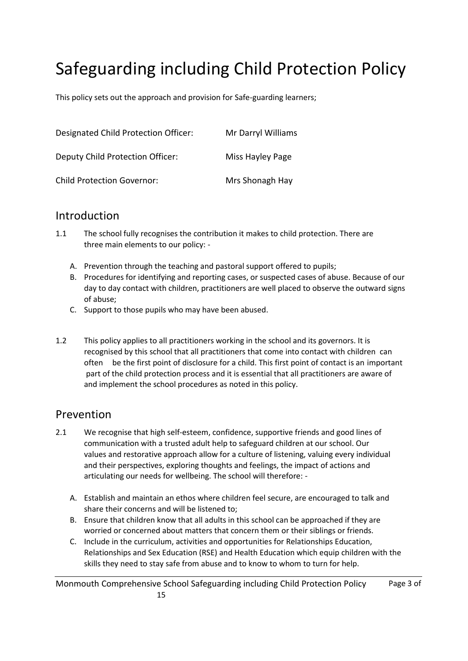# Safeguarding including Child Protection Policy

This policy sets out the approach and provision for Safe-guarding learners;

| Designated Child Protection Officer: | Mr Darryl Williams |
|--------------------------------------|--------------------|
| Deputy Child Protection Officer:     | Miss Hayley Page   |
| <b>Child Protection Governor:</b>    | Mrs Shonagh Hay    |

## Introduction

- 1.1 The school fully recognises the contribution it makes to child protection. There are three main elements to our policy: -
	- A. Prevention through the teaching and pastoral support offered to pupils;
	- B. Procedures for identifying and reporting cases, or suspected cases of abuse. Because of our day to day contact with children, practitioners are well placed to observe the outward signs of abuse;
	- C. Support to those pupils who may have been abused.
- 1.2 This policy applies to all practitioners working in the school and its governors. It is recognised by this school that all practitioners that come into contact with children can often be the first point of disclosure for a child. This first point of contact is an important part of the child protection process and it is essential that all practitioners are aware of and implement the school procedures as noted in this policy.

## Prevention

- 2.1 We recognise that high self-esteem, confidence, supportive friends and good lines of communication with a trusted adult help to safeguard children at our school. Our values and restorative approach allow for a culture of listening, valuing every individual and their perspectives, exploring thoughts and feelings, the impact of actions and articulating our needs for wellbeing. The school will therefore: -
	- A. Establish and maintain an ethos where children feel secure, are encouraged to talk and share their concerns and will be listened to;
	- B. Ensure that children know that all adults in this school can be approached if they are worried or concerned about matters that concern them or their siblings or friends.
	- C. Include in the curriculum, activities and opportunities for Relationships Education, Relationships and Sex Education (RSE) and Health Education which equip children with the skills they need to stay safe from abuse and to know to whom to turn for help.

Monmouth Comprehensive School Safeguarding including Child Protection Policy Page 3 of 15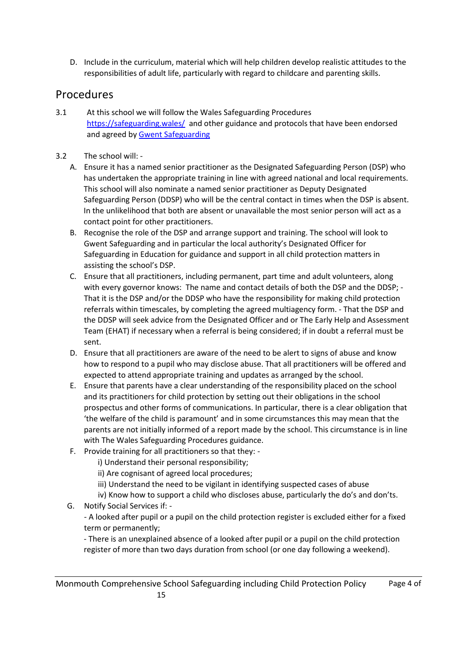D. Include in the curriculum, material which will help children develop realistic attitudes to the responsibilities of adult life, particularly with regard to childcare and parenting skills.

# **Procedures**

- 3.1 At this school we will follow the Wales Safeguarding Procedures <https://safeguarding.wales/>and other guidance and protocols that have been endorsed and agreed b[y Gwent Safeguarding](https://www.gwentsafeguarding.org.uk/)
- 3.2 The school will:
	- A. Ensure it has a named senior practitioner as the Designated Safeguarding Person (DSP) who has undertaken the appropriate training in line with agreed national and local requirements. This school will also nominate a named senior practitioner as Deputy Designated Safeguarding Person (DDSP) who will be the central contact in times when the DSP is absent. In the unlikelihood that both are absent or unavailable the most senior person will act as a contact point for other practitioners.
	- B. Recognise the role of the DSP and arrange support and training. The school will look to Gwent Safeguarding and in particular the local authority's Designated Officer for Safeguarding in Education for guidance and support in all child protection matters in assisting the school's DSP.
	- C. Ensure that all practitioners, including permanent, part time and adult volunteers, along with every governor knows: The name and contact details of both the DSP and the DDSP; -That it is the DSP and/or the DDSP who have the responsibility for making child protection referrals within timescales, by completing the agreed multiagency form. - That the DSP and the DDSP will seek advice from the Designated Officer and or The Early Help and Assessment Team (EHAT) if necessary when a referral is being considered; if in doubt a referral must be sent.
	- D. Ensure that all practitioners are aware of the need to be alert to signs of abuse and know how to respond to a pupil who may disclose abuse. That all practitioners will be offered and expected to attend appropriate training and updates as arranged by the school.
	- E. Ensure that parents have a clear understanding of the responsibility placed on the school and its practitioners for child protection by setting out their obligations in the school prospectus and other forms of communications. In particular, there is a clear obligation that 'the welfare of the child is paramount' and in some circumstances this may mean that the parents are not initially informed of a report made by the school. This circumstance is in line with The Wales Safeguarding Procedures guidance.
	- F. Provide training for all practitioners so that they:
		- i) Understand their personal responsibility;
		- ii) Are cognisant of agreed local procedures;
		- iii) Understand the need to be vigilant in identifying suspected cases of abuse
		- iv) Know how to support a child who discloses abuse, particularly the do's and don'ts.
	- G. Notify Social Services if: -

- A looked after pupil or a pupil on the child protection register is excluded either for a fixed term or permanently;

- There is an unexplained absence of a looked after pupil or a pupil on the child protection register of more than two days duration from school (or one day following a weekend).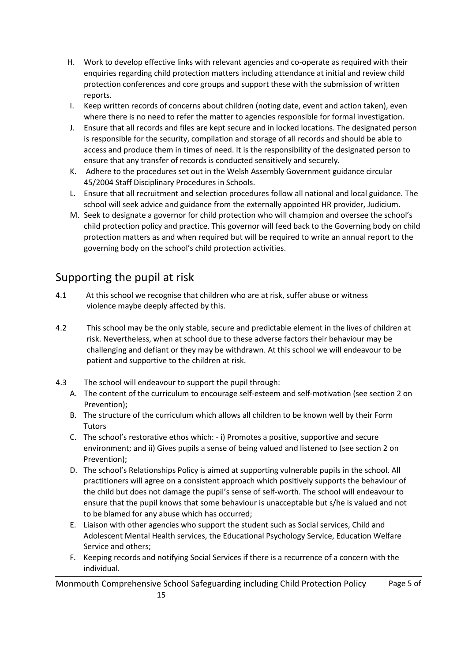- H. Work to develop effective links with relevant agencies and co-operate as required with their enquiries regarding child protection matters including attendance at initial and review child protection conferences and core groups and support these with the submission of written reports.
- I. Keep written records of concerns about children (noting date, event and action taken), even where there is no need to refer the matter to agencies responsible for formal investigation.
- J. Ensure that all records and files are kept secure and in locked locations. The designated person is responsible for the security, compilation and storage of all records and should be able to access and produce them in times of need. It is the responsibility of the designated person to ensure that any transfer of records is conducted sensitively and securely.
- K. Adhere to the procedures set out in the Welsh Assembly Government guidance circular 45/2004 Staff Disciplinary Procedures in Schools.
- L. Ensure that all recruitment and selection procedures follow all national and local guidance. The school will seek advice and guidance from the externally appointed HR provider, Judicium.
- M. Seek to designate a governor for child protection who will champion and oversee the school's child protection policy and practice. This governor will feed back to the Governing body on child protection matters as and when required but will be required to write an annual report to the governing body on the school's child protection activities.

# Supporting the pupil at risk

- 4.1 At this school we recognise that children who are at risk, suffer abuse or witness violence maybe deeply affected by this.
- 4.2 This school may be the only stable, secure and predictable element in the lives of children at risk. Nevertheless, when at school due to these adverse factors their behaviour may be challenging and defiant or they may be withdrawn. At this school we will endeavour to be patient and supportive to the children at risk.
- 4.3 The school will endeavour to support the pupil through:
	- A. The content of the curriculum to encourage self-esteem and self-motivation (see section 2 on Prevention);
	- B. The structure of the curriculum which allows all children to be known well by their Form **Tutors**
	- C. The school's restorative ethos which: i) Promotes a positive, supportive and secure environment; and ii) Gives pupils a sense of being valued and listened to (see section 2 on Prevention);
	- D. The school's Relationships Policy is aimed at supporting vulnerable pupils in the school. All practitioners will agree on a consistent approach which positively supports the behaviour of the child but does not damage the pupil's sense of self-worth. The school will endeavour to ensure that the pupil knows that some behaviour is unacceptable but s/he is valued and not to be blamed for any abuse which has occurred;
	- E. Liaison with other agencies who support the student such as Social services, Child and Adolescent Mental Health services, the Educational Psychology Service, Education Welfare Service and others;
	- F. Keeping records and notifying Social Services if there is a recurrence of a concern with the individual.

Monmouth Comprehensive School Safeguarding including Child Protection Policy Page 5 of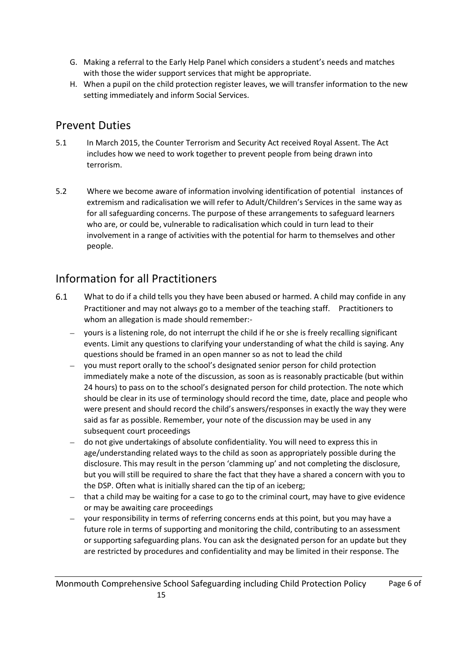- G. Making a referral to the Early Help Panel which considers a student's needs and matches with those the wider support services that might be appropriate.
- H. When a pupil on the child protection register leaves, we will transfer information to the new setting immediately and inform Social Services.

# Prevent Duties

- 5.1 In March 2015, the Counter Terrorism and Security Act received Royal Assent. The Act includes how we need to work together to prevent people from being drawn into terrorism.
- 5.2 Where we become aware of information involving identification of potential instances of extremism and radicalisation we will refer to Adult/Children's Services in the same way as for all safeguarding concerns. The purpose of these arrangements to safeguard learners who are, or could be, vulnerable to radicalisation which could in turn lead to their involvement in a range of activities with the potential for harm to themselves and other people.

# Information for all Practitioners

- 6.1 What to do if a child tells you they have been abused or harmed. A child may confide in any Practitioner and may not always go to a member of the teaching staff. Practitioners to whom an allegation is made should remember:
	- yours is a listening role, do not interrupt the child if he or she is freely recalling significant events. Limit any questions to clarifying your understanding of what the child is saying. Any questions should be framed in an open manner so as not to lead the child
	- you must report orally to the school's designated senior person for child protection immediately make a note of the discussion, as soon as is reasonably practicable (but within 24 hours) to pass on to the school's designated person for child protection. The note which should be clear in its use of terminology should record the time, date, place and people who were present and should record the child's answers/responses in exactly the way they were said as far as possible. Remember, your note of the discussion may be used in any subsequent court proceedings
	- do not give undertakings of absolute confidentiality. You will need to express this in age/understanding related ways to the child as soon as appropriately possible during the disclosure. This may result in the person 'clamming up' and not completing the disclosure, but you will still be required to share the fact that they have a shared a concern with you to the DSP. Often what is initially shared can the tip of an iceberg;
	- that a child may be waiting for a case to go to the criminal court, may have to give evidence or may be awaiting care proceedings
	- your responsibility in terms of referring concerns ends at this point, but you may have a future role in terms of supporting and monitoring the child, contributing to an assessment or supporting safeguarding plans. You can ask the designated person for an update but they are restricted by procedures and confidentiality and may be limited in their response. The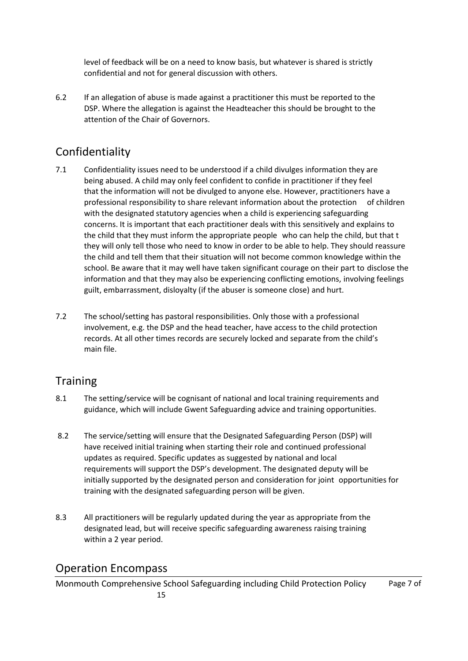level of feedback will be on a need to know basis, but whatever is shared is strictly confidential and not for general discussion with others.

6.2 If an allegation of abuse is made against a practitioner this must be reported to the DSP. Where the allegation is against the Headteacher this should be brought to the attention of the Chair of Governors.

# Confidentiality

- 7.1 Confidentiality issues need to be understood if a child divulges information they are being abused. A child may only feel confident to confide in practitioner if they feel that the information will not be divulged to anyone else. However, practitioners have a professional responsibility to share relevant information about the protection of children with the designated statutory agencies when a child is experiencing safeguarding concerns. It is important that each practitioner deals with this sensitively and explains to the child that they must inform the appropriate people who can help the child, but that t they will only tell those who need to know in order to be able to help. They should reassure the child and tell them that their situation will not become common knowledge within the school. Be aware that it may well have taken significant courage on their part to disclose the information and that they may also be experiencing conflicting emotions, involving feelings guilt, embarrassment, disloyalty (if the abuser is someone close) and hurt.
- 7.2 The school/setting has pastoral responsibilities. Only those with a professional involvement, e.g. the DSP and the head teacher, have access to the child protection records. At all other times records are securely locked and separate from the child's main file.

# **Training**

- 8.1 The setting/service will be cognisant of national and local training requirements and guidance, which will include Gwent Safeguarding advice and training opportunities.
- 8.2 The service/setting will ensure that the Designated Safeguarding Person (DSP) will have received initial training when starting their role and continued professional updates as required. Specific updates as suggested by national and local requirements will support the DSP's development. The designated deputy will be initially supported by the designated person and consideration for joint opportunities for training with the designated safeguarding person will be given.
- 8.3 All practitioners will be regularly updated during the year as appropriate from the designated lead, but will receive specific safeguarding awareness raising training within a 2 year period.

## Operation Encompass

Monmouth Comprehensive School Safeguarding including Child Protection Policy Page 7 of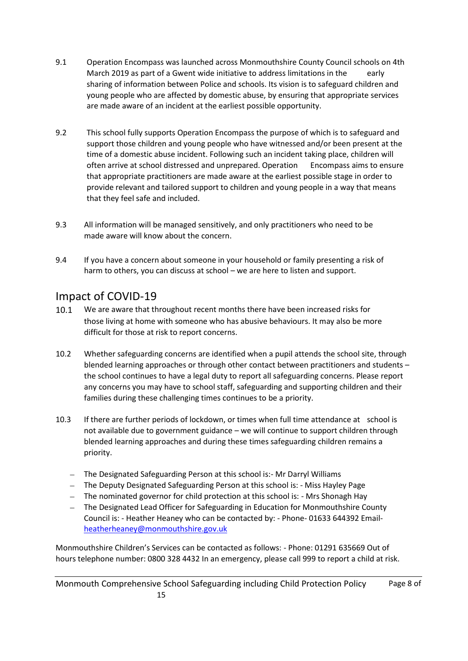- 9.1 Operation Encompass was launched across Monmouthshire County Council schools on 4th March 2019 as part of a Gwent wide initiative to address limitations in the early sharing of information between Police and schools. Its vision is to safeguard children and young people who are affected by domestic abuse, by ensuring that appropriate services are made aware of an incident at the earliest possible opportunity.
- 9.2 This school fully supports Operation Encompass the purpose of which is to safeguard and support those children and young people who have witnessed and/or been present at the time of a domestic abuse incident. Following such an incident taking place, children will often arrive at school distressed and unprepared. Operation Encompass aims to ensure that appropriate practitioners are made aware at the earliest possible stage in order to provide relevant and tailored support to children and young people in a way that means that they feel safe and included.
- 9.3 All information will be managed sensitively, and only practitioners who need to be made aware will know about the concern.
- 9.4 If you have a concern about someone in your household or family presenting a risk of harm to others, you can discuss at school – we are here to listen and support.

# Impact of COVID-19

- 10.1 We are aware that throughout recent months there have been increased risks for those living at home with someone who has abusive behaviours. It may also be more difficult for those at risk to report concerns.
- 10.2 Whether safeguarding concerns are identified when a pupil attends the school site, through blended learning approaches or through other contact between practitioners and students – the school continues to have a legal duty to report all safeguarding concerns. Please report any concerns you may have to school staff, safeguarding and supporting children and their families during these challenging times continues to be a priority.
- 10.3 If there are further periods of lockdown, or times when full time attendance at school is not available due to government guidance – we will continue to support children through blended learning approaches and during these times safeguarding children remains a priority.
	- The Designated Safeguarding Person at this school is:- Mr Darryl Williams
	- The Deputy Designated Safeguarding Person at this school is: Miss Hayley Page
	- The nominated governor for child protection at this school is: Mrs Shonagh Hay
	- The Designated Lead Officer for Safeguarding in Education for Monmouthshire County Council is: - Heather Heaney who can be contacted by: - Phone- 01633 644392 Email[heatherheaney@monmouthshire.gov.uk](mailto:heatherheaney@monmouthshire.gov.uk)

Monmouthshire Children's Services can be contacted as follows: - Phone: 01291 635669 Out of hours telephone number: 0800 328 4432 In an emergency, please call 999 to report a child at risk.

Monmouth Comprehensive School Safeguarding including Child Protection Policy Page 8 of 15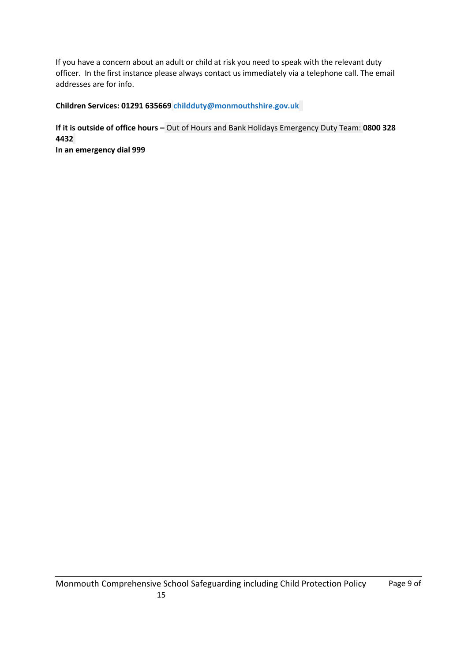If you have a concern about an adult or child at risk you need to speak with the relevant duty officer. In the first instance please always contact us immediately via a telephone call. The email addresses are for info.

**Children Services: 01291 635669 [childduty@monmouthshire.gov.uk](mailto:childduty@monmouthshire.gov.uk)**

**If it is outside of office hours –** Out of Hours and Bank Holidays Emergency Duty Team: **0800 328 4432 In an emergency dial 999**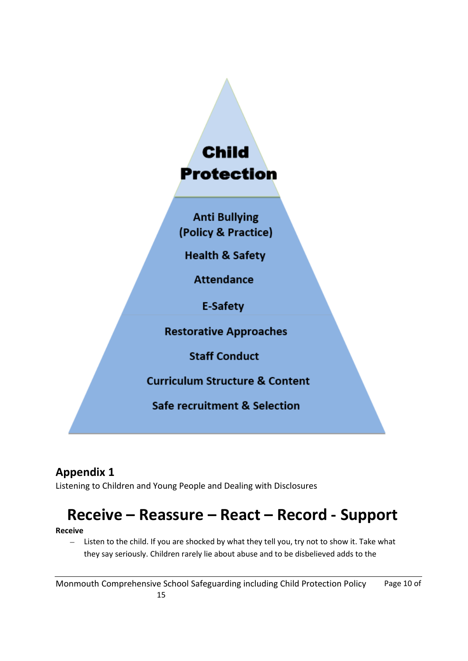# **Child Protection**

**Anti Bullying** (Policy & Practice)

**Health & Safety** 

**Attendance** 

**E-Safety** 

**Restorative Approaches** 

**Staff Conduct** 

**Curriculum Structure & Content** 

Safe recruitment & Selection

# **Appendix 1**

Listening to Children and Young People and Dealing with Disclosures

# **Receive – Reassure – React – Record - Support**

### **Receive**

- Listen to the child. If you are shocked by what they tell you, try not to show it. Take what they say seriously. Children rarely lie about abuse and to be disbelieved adds to the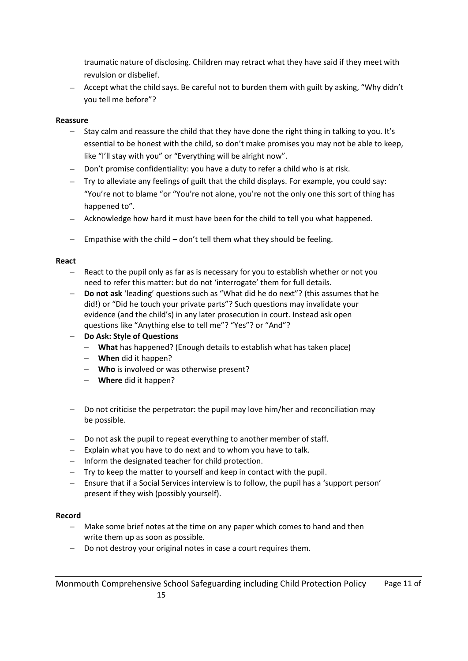traumatic nature of disclosing. Children may retract what they have said if they meet with revulsion or disbelief.

 Accept what the child says. Be careful not to burden them with guilt by asking, "Why didn't you tell me before"?

### **Reassure**

- $-$  Stay calm and reassure the child that they have done the right thing in talking to you. It's essential to be honest with the child, so don't make promises you may not be able to keep, like "I'll stay with you" or "Everything will be alright now".
- Don't promise confidentiality: you have a duty to refer a child who is at risk.
- Try to alleviate any feelings of guilt that the child displays. For example, you could say: "You're not to blame "or "You're not alone, you're not the only one this sort of thing has happened to".
- Acknowledge how hard it must have been for the child to tell you what happened.
- $-$  Empathise with the child  $-$  don't tell them what they should be feeling.

### **React**

- React to the pupil only as far as is necessary for you to establish whether or not you need to refer this matter: but do not 'interrogate' them for full details.
- **Do not ask** 'leading' questions such as "What did he do next"? (this assumes that he did!) or "Did he touch your private parts"? Such questions may invalidate your evidence (and the child's) in any later prosecution in court. Instead ask open questions like "Anything else to tell me"? "Yes"? or "And"?
- **Do Ask: Style of Questions** 
	- **What** has happened? (Enough details to establish what has taken place)
	- **When** did it happen?
	- **Who** is involved or was otherwise present?
	- **Where** did it happen?
- $-$  Do not criticise the perpetrator: the pupil may love him/her and reconciliation may be possible.
- Do not ask the pupil to repeat everything to another member of staff.
- $-$  Explain what you have to do next and to whom you have to talk.
- $-$  Inform the designated teacher for child protection.
- Try to keep the matter to yourself and keep in contact with the pupil.
- Ensure that if a Social Services interview is to follow, the pupil has a 'support person' present if they wish (possibly yourself).

### **Record**

- Make some brief notes at the time on any paper which comes to hand and then write them up as soon as possible.
- Do not destroy your original notes in case a court requires them.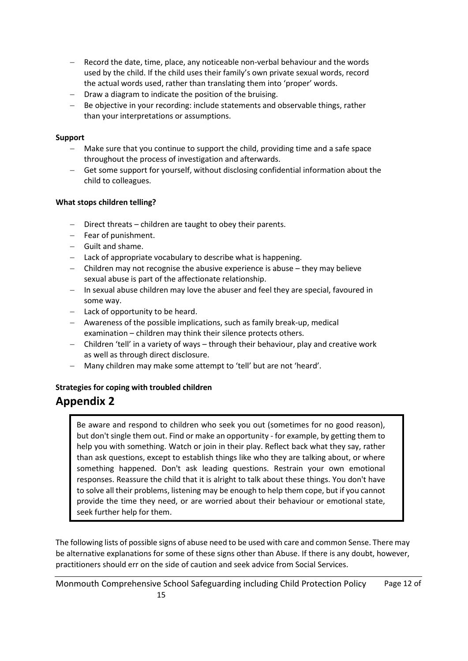- Record the date, time, place, any noticeable non-verbal behaviour and the words used by the child. If the child uses their family's own private sexual words, record the actual words used, rather than translating them into 'proper' words.
- Draw a diagram to indicate the position of the bruising.
- $B = B$  be objective in your recording: include statements and observable things, rather than your interpretations or assumptions.

### **Support**

- Make sure that you continue to support the child, providing time and a safe space throughout the process of investigation and afterwards.
- Get some support for yourself, without disclosing confidential information about the child to colleagues.

### **What stops children telling?**

- Direct threats children are taught to obey their parents.
- Fear of punishment.
- Guilt and shame.
- $-$  Lack of appropriate vocabulary to describe what is happening.
- Children may not recognise the abusive experience is abuse they may believe sexual abuse is part of the affectionate relationship.
- In sexual abuse children may love the abuser and feel they are special, favoured in some way.
- $-$  Lack of opportunity to be heard.
- Awareness of the possible implications, such as family break-up, medical examination – children may think their silence protects others.
- Children 'tell' in a variety of ways through their behaviour, play and creative work as well as through direct disclosure.
- Many children may make some attempt to 'tell' but are not 'heard'.

### **Strategies for coping with troubled children**

## **Appendix 2**

Be aware and respond to children who seek you out (sometimes for no good reason), but don't single them out. Find or make an opportunity - for example, by getting them to help you with something. Watch or join in their play. Reflect back what they say, rather than ask questions, except to establish things like who they are talking about, or where something happened. Don't ask leading questions. Restrain your own emotional responses. Reassure the child that it is alright to talk about these things. You don't have to solve all their problems, listening may be enough to help them cope, but if you cannot provide the time they need, or are worried about their behaviour or emotional state, seek further help for them.

The following lists of possible signs of abuse need to be used with care and common Sense. There may be alternative explanations for some of these signs other than Abuse. If there is any doubt, however, practitioners should err on the side of caution and seek advice from Social Services.

Monmouth Comprehensive School Safeguarding including Child Protection Policy Page 12 of 15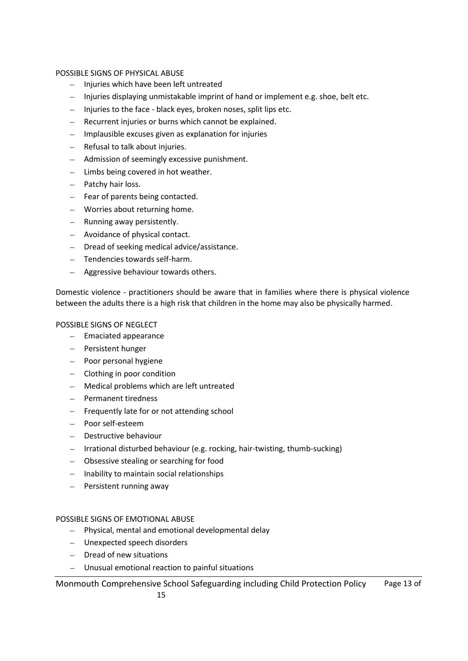### POSSIBLE SIGNS OF PHYSICAL ABUSE

- Injuries which have been left untreated
- Injuries displaying unmistakable imprint of hand or implement e.g. shoe, belt etc.
- Injuries to the face black eyes, broken noses, split lips etc.
- Recurrent injuries or burns which cannot be explained.
- $-$  Implausible excuses given as explanation for injuries
- Refusal to talk about injuries.
- Admission of seemingly excessive punishment.
- $-$  Limbs being covered in hot weather.
- $-$  Patchy hair loss.
- $-$  Fear of parents being contacted.
- Worries about returning home.
- Running away persistently.
- Avoidance of physical contact.
- Dread of seeking medical advice/assistance.
- Tendencies towards self-harm.
- Aggressive behaviour towards others.

Domestic violence - practitioners should be aware that in families where there is physical violence between the adults there is a high risk that children in the home may also be physically harmed.

### POSSIBLE SIGNS OF NEGLECT

- $-$  Emaciated appearance
- Persistent hunger
- Poor personal hygiene
- Clothing in poor condition
- Medical problems which are left untreated
- Permanent tiredness
- Frequently late for or not attending school
- Poor self-esteem
- Destructive behaviour
- Irrational disturbed behaviour (e.g. rocking, hair-twisting, thumb-sucking)
- Obsessive stealing or searching for food
- $-$  Inability to maintain social relationships
- Persistent running away

### POSSIBLE SIGNS OF EMOTIONAL ABUSE

- Physical, mental and emotional developmental delay
- Unexpected speech disorders
- Dread of new situations
- Unusual emotional reaction to painful situations

Monmouth Comprehensive School Safeguarding including Child Protection Policy Page 13 of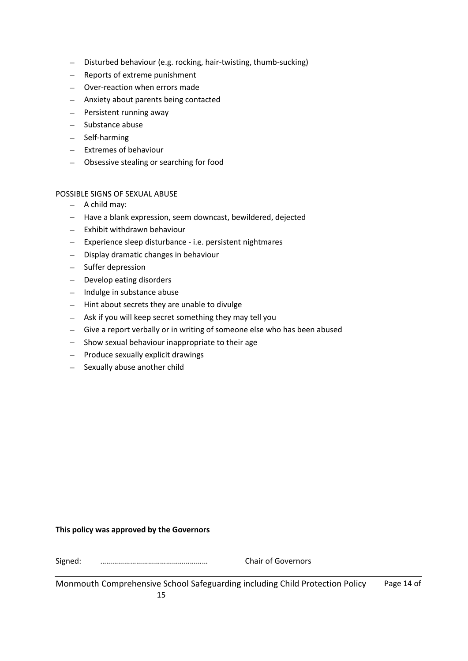- Disturbed behaviour (e.g. rocking, hair-twisting, thumb-sucking)
- Reports of extreme punishment
- Over-reaction when errors made
- Anxiety about parents being contacted
- Persistent running away
- Substance abuse
- Self-harming
- Extremes of behaviour
- Obsessive stealing or searching for food

### POSSIBLE SIGNS OF SEXUAL ABUSE

- $-$  A child may:
- Have a blank expression, seem downcast, bewildered, dejected
- $-$  Exhibit withdrawn behaviour
- Experience sleep disturbance i.e. persistent nightmares
- Display dramatic changes in behaviour
- Suffer depression
- Develop eating disorders
- Indulge in substance abuse
- $-$  Hint about secrets they are unable to divulge
- $-$  Ask if you will keep secret something they may tell you
- Give a report verbally or in writing of someone else who has been abused
- $-$  Show sexual behaviour inappropriate to their age
- $-$  Produce sexually explicit drawings
- Sexually abuse another child

### **This policy was approved by the Governors**

Signed: ……………………………………………… Chair of Governors

| Monmouth Comprehensive School Safeguarding including Child Protection Policy |  |
|------------------------------------------------------------------------------|--|
|                                                                              |  |